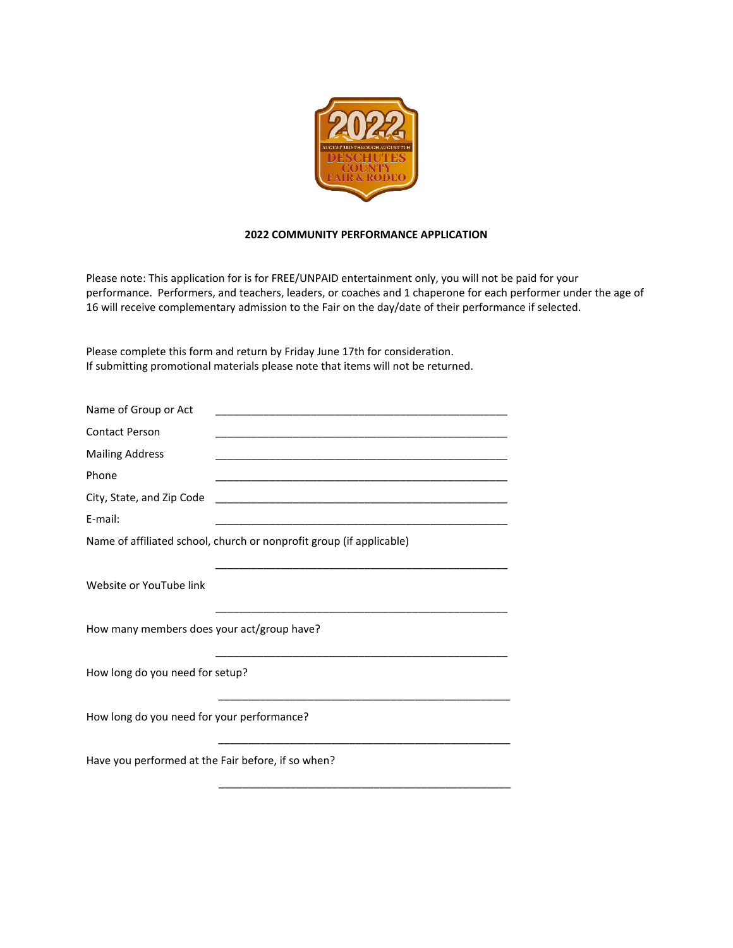

## **2022 COMMUNITY PERFORMANCE APPLICATION**

Please note: This application for is for FREE/UNPAID entertainment only, you will not be paid for your performance. Performers, and teachers, leaders, or coaches and 1 chaperone for each performer under the age of 16 will receive complementary admission to the Fair on the day/date of their performance if selected.

\_\_\_\_\_\_\_\_\_\_\_\_\_\_\_\_\_\_\_\_\_\_\_\_\_\_\_\_\_\_\_\_\_\_\_\_\_\_\_\_\_\_\_\_\_\_\_\_\_

Please complete this form and return by Friday June 17th for consideration. If submitting promotional materials please note that items will not be returned.

| Name of Group or Act                                                 |                                                                                                                       |  |
|----------------------------------------------------------------------|-----------------------------------------------------------------------------------------------------------------------|--|
| <b>Contact Person</b>                                                | <u> 1989 - Johann Stoff, deutscher Stoff, der Stoff, der Stoff, der Stoff, der Stoff, der Stoff, der Stoff, der S</u> |  |
| <b>Mailing Address</b>                                               |                                                                                                                       |  |
| Phone                                                                |                                                                                                                       |  |
| City, State, and Zip Code                                            |                                                                                                                       |  |
| E-mail:                                                              |                                                                                                                       |  |
| Name of affiliated school, church or nonprofit group (if applicable) |                                                                                                                       |  |
|                                                                      |                                                                                                                       |  |
| Website or YouTube link                                              |                                                                                                                       |  |
|                                                                      |                                                                                                                       |  |
| How many members does your act/group have?                           |                                                                                                                       |  |
|                                                                      |                                                                                                                       |  |
| How long do you need for setup?                                      |                                                                                                                       |  |
|                                                                      |                                                                                                                       |  |
| How long do you need for your performance?                           |                                                                                                                       |  |
|                                                                      |                                                                                                                       |  |
| Have you performed at the Fair before, if so when?                   |                                                                                                                       |  |